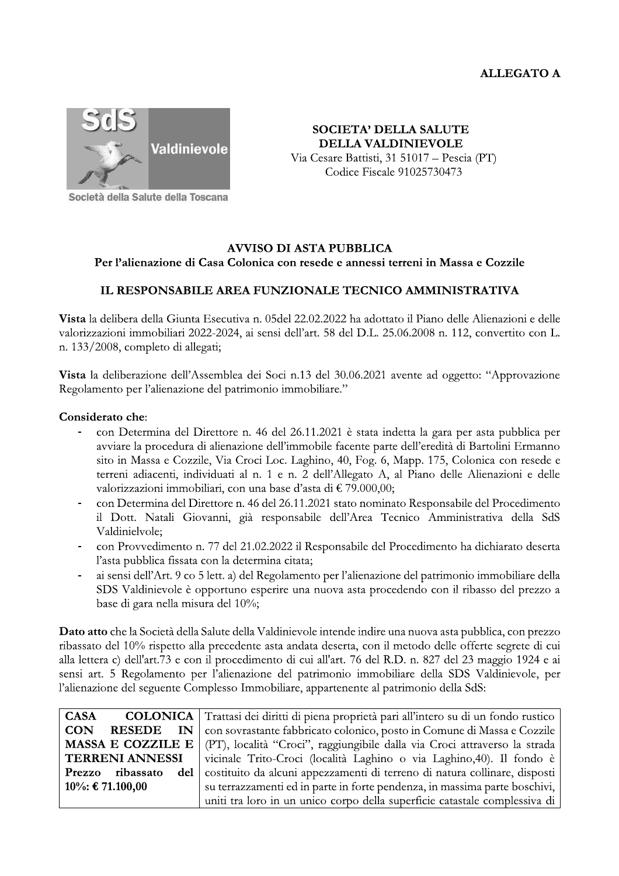

**SOCIETA' DELLA SALUTE DELLA VALDINIEVOLE** Via Cesare Battisti, 31 51017 – Pescia (PT) Codice Fiscale 91025730473

Società della Salute della Toscana

## **AVVISO DI ASTA PUBBLICA** Per l'alienazione di Casa Colonica con resede e annessi terreni in Massa e Cozzile

## IL RESPONSABILE AREA FUNZIONALE TECNICO AMMINISTRATIVA

Vista la delibera della Giunta Esecutiva n. 05del 22.02.2022 ha adottato il Piano delle Alienazioni e delle valorizzazioni immobiliari 2022-2024, ai sensi dell'art. 58 del D.L. 25.06.2008 n. 112, convertito con L. n. 133/2008, completo di allegati;

Vista la deliberazione dell'Assemblea dei Soci n.13 del 30.06.2021 avente ad oggetto: "Approvazione Regolamento per l'alienazione del patrimonio immobiliare."

## Considerato che:

- con Determina del Direttore n. 46 del 26.11.2021 è stata indetta la gara per asta pubblica per avviare la procedura di alienazione dell'immobile facente parte dell'eredità di Bartolini Ermanno sito in Massa e Cozzile, Via Croci Loc. Laghino, 40, Fog. 6, Mapp. 175, Colonica con resede e terreni adiacenti, individuati al n. 1 e n. 2 dell'Allegato A, al Piano delle Alienazioni e delle valorizzazioni immobiliari, con una base d'asta di  $\epsilon$  79.000,00;
- con Determina del Direttore n. 46 del 26.11.2021 stato nominato Responsabile del Procedimento il Dott. Natali Giovanni, già responsabile dell'Area Tecnico Amministrativa della SdS Valdinielvole:
- con Provvedimento n. 77 del 21.02.2022 il Responsabile del Procedimento ha dichiarato deserta l'asta pubblica fissata con la determina citata;
- ai sensi dell'Art. 9 co 5 lett. a) del Regolamento per l'alienazione del patrimonio immobiliare della SDS Valdinievole è opportuno esperire una nuova asta procedendo con il ribasso del prezzo a base di gara nella misura del 10%;

Dato atto che la Società della Salute della Valdinievole intende indire una nuova asta pubblica, con prezzo ribassato del 10% rispetto alla precedente asta andata deserta, con il metodo delle offerte segrete di cui alla lettera c) dell'art.73 e con il procedimento di cui all'art. 76 del R.D. n. 827 del 23 maggio 1924 e ai sensi art. 5 Regolamento per l'alienazione del patrimonio immobiliare della SDS Valdinievole, per l'alienazione del seguente Complesso Immobiliare, appartenente al patrimonio della SdS:

| <b>CASA</b>             | <b>COLONICA</b>   Trattasi dei diritti di piena proprietà pari all'intero su di un fondo rustico      |
|-------------------------|-------------------------------------------------------------------------------------------------------|
| <b>CON</b><br>RESEDE IN | con sovrastante fabbricato colonico, posto in Comune di Massa e Cozzile                               |
|                         | <b>MASSA E COZZILE E</b>   (PT), località "Croci", raggiungibile dalla via Croci attraverso la strada |
| <b>TERRENI ANNESSI</b>  | vicinale Trito-Croci (località Laghino o via Laghino, 40). Il fondo è                                 |
| Prezzo ribassato<br>del | costituito da alcuni appezzamenti di terreno di natura collinare, disposti                            |
| $10\%$ : € 71.100,00    | su terrazzamenti ed in parte in forte pendenza, in massima parte boschivi,                            |
|                         | uniti tra loro in un unico corpo della superficie catastale complessiva di                            |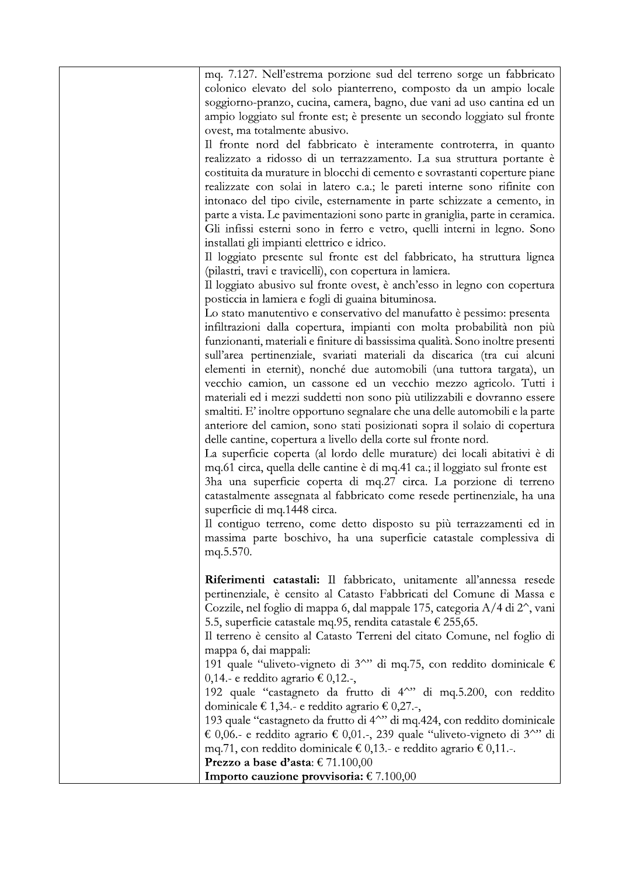| mq. 7.127. Nell'estrema porzione sud del terreno sorge un fabbricato                                       |
|------------------------------------------------------------------------------------------------------------|
| colonico elevato del solo pianterreno, composto da un ampio locale                                         |
| soggiorno-pranzo, cucina, camera, bagno, due vani ad uso cantina ed un                                     |
| ampio loggiato sul fronte est; è presente un secondo loggiato sul fronte                                   |
| ovest, ma totalmente abusivo.                                                                              |
| Il fronte nord del fabbricato è interamente controterra, in quanto                                         |
| realizzato a ridosso di un terrazzamento. La sua struttura portante è                                      |
| costituita da murature in blocchi di cemento e sovrastanti coperture piane                                 |
| realizzate con solai in latero c.a.; le pareti interne sono rifinite con                                   |
| intonaco del tipo civile, esternamente in parte schizzate a cemento, in                                    |
| parte a vista. Le pavimentazioni sono parte in graniglia, parte in ceramica.                               |
| Gli infissi esterni sono in ferro e vetro, quelli interni in legno. Sono                                   |
| installati gli impianti elettrico e idrico.                                                                |
| Il loggiato presente sul fronte est del fabbricato, ha struttura lignea                                    |
| (pilastri, travi e travicelli), con copertura in lamiera.                                                  |
| Il loggiato abusivo sul fronte ovest, è anch'esso in legno con copertura                                   |
| posticcia in lamiera e fogli di guaina bituminosa.                                                         |
| Lo stato manutentivo e conservativo del manufatto è pessimo: presenta                                      |
| infiltrazioni dalla copertura, impianti con molta probabilità non più                                      |
| funzionanti, materiali e finiture di bassissima qualità. Sono inoltre presenti                             |
| sull'area pertinenziale, svariati materiali da discarica (tra cui alcuni                                   |
| elementi in eternit), nonché due automobili (una tuttora targata), un                                      |
| vecchio camion, un cassone ed un vecchio mezzo agricolo. Tutti i                                           |
| materiali ed i mezzi suddetti non sono più utilizzabili e dovranno essere                                  |
| smaltiti. E' inoltre opportuno segnalare che una delle automobili e la parte                               |
| anteriore del camion, sono stati posizionati sopra il solaio di copertura                                  |
| delle cantine, copertura a livello della corte sul fronte nord.                                            |
| La superficie coperta (al lordo delle murature) dei locali abitativi è di                                  |
| mq.61 circa, quella delle cantine è di mq.41 ca.; il loggiato sul fronte est                               |
| 3ha una superficie coperta di mq.27 circa. La porzione di terreno                                          |
| catastalmente assegnata al fabbricato come resede pertinenziale, ha una                                    |
| superficie di mq.1448 circa.                                                                               |
| Il contiguo terreno, come detto disposto su più terrazzamenti ed in                                        |
| massima parte boschivo, ha una superficie catastale complessiva di                                         |
| mq.5.570.                                                                                                  |
|                                                                                                            |
| Riferimenti catastali: Il fabbricato, unitamente all'annessa resede                                        |
| pertinenziale, è censito al Catasto Fabbricati del Comune di Massa e                                       |
| Cozzile, nel foglio di mappa 6, dal mappale 175, categoria A/4 di 2 <sup>o</sup> , vani                    |
| 5.5, superficie catastale mq.95, rendita catastale € 255,65.                                               |
| Il terreno è censito al Catasto Terreni del citato Comune, nel foglio di                                   |
| mappa 6, dai mappali:                                                                                      |
| 191 quale "uliveto-vigneto di 3 <sup><math>\sim</math></sup> " di mq.75, con reddito dominicale $\epsilon$ |
| $0,14$ . e reddito agrario € 0,12.-,                                                                       |
| 192 quale "castagneto da frutto di 4^" di mq.5.200, con reddito                                            |
| dominicale € 1,34.- e reddito agrario € 0,27.-,                                                            |
| 193 quale "castagneto da frutto di 4^" di mq.424, con reddito dominicale                                   |
| € 0,06.- e reddito agrario € 0,01.-, 239 quale "uliveto-vigneto di 3^" di                                  |
| mq.71, con reddito dominicale € 0,13.- e reddito agrario € 0,11.-.                                         |
| Prezzo a base d'asta: $\epsilon$ 71.100,00                                                                 |
| Importo cauzione provvisoria: $\epsilon$ 7.100,00                                                          |